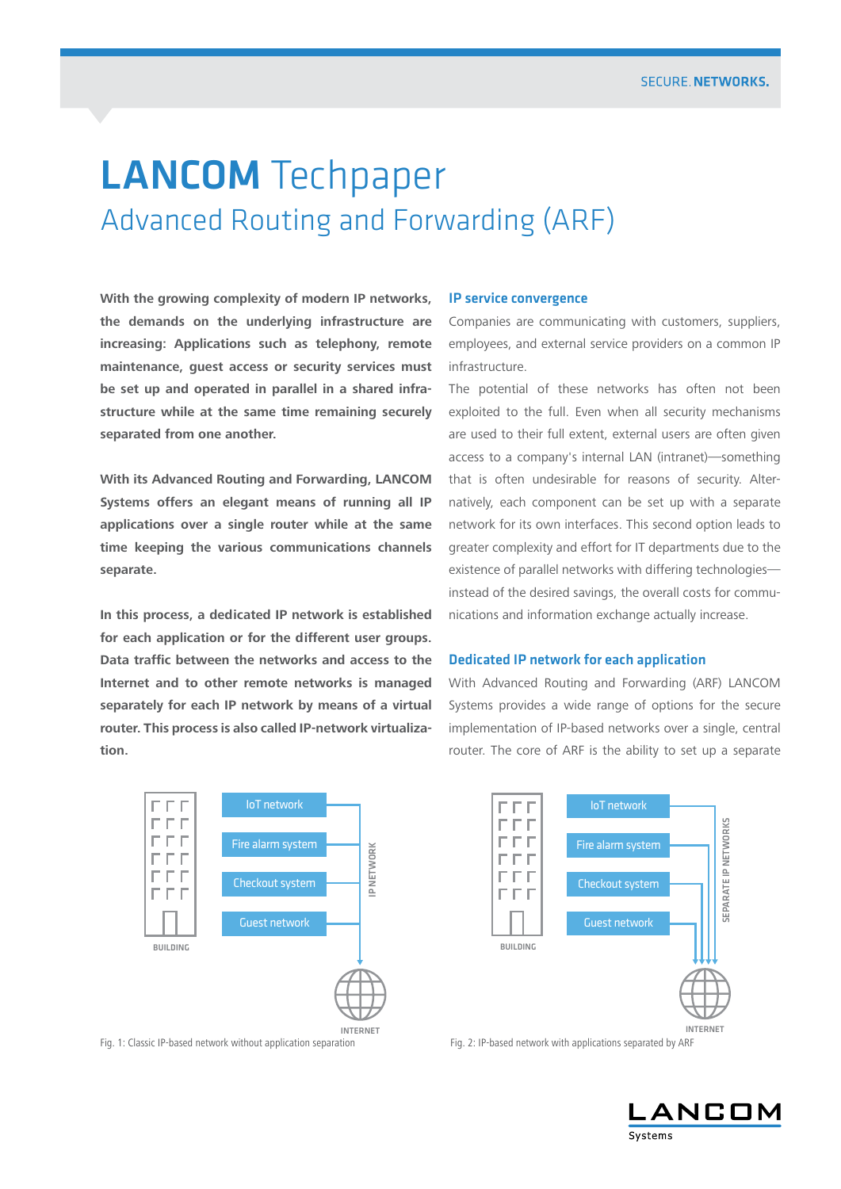# Advanced Routing and Forwarding (ARF)

LANCOM Techpaper<br>
Advanced Routing and Forwarding (ARF)<br>
With the growing complexity of modern in reaconsists. Pervise convergence<br>
we deremants on the underlying infrastructure are Companies are communicating with<br>
the de **With the growing complexity of modern IP networks, the demands on the underlying infrastructure are increasing: Applications such as telephony, remote maintenance, guest access or security services must be set up and operated in parallel in a shared infrastructure while at the same time remaining securely separated from one another.**

**With its Advanced Routing and Forwarding, LANCOM Systems offers an elegant means of running all IP applications over a single router while at the same time keeping the various communications channels separate.**

**In this process, a dedicated IP network is established for each application or for the different user groups. Data traffic between the networks and access to the Internet and to other remote networks is managed separately for each IP network by means of a virtual router. This process is also called IP-network virtualization.**



Fig. 1: Classic IP-based network without application separation Fig. 2: IP-based network with applications separated by ARF

#### IP service convergence

Companies are communicating with customers, suppliers, employees, and external service providers on a common IP infrastructure.

The potential of these networks has often not been exploited to the full. Even when all security mechanisms are used to their full extent, external users are often given access to a company's internal LAN (intranet)—something that is often undesirable for reasons of security. Alternatively, each component can be set up with a separate network for its own interfaces. This second option leads to greater complexity and effort for IT departments due to the existence of parallel networks with differing technologies instead of the desired savings, the overall costs for communications and information exchange actually increase.

#### Dedicated IP network for each application

With Advanced Routing and Forwarding (ARF) LANCOM Systems provides a wide range of options for the secure implementation of IP-based networks over a single, central router. The core of ARF is the ability to set up a separate



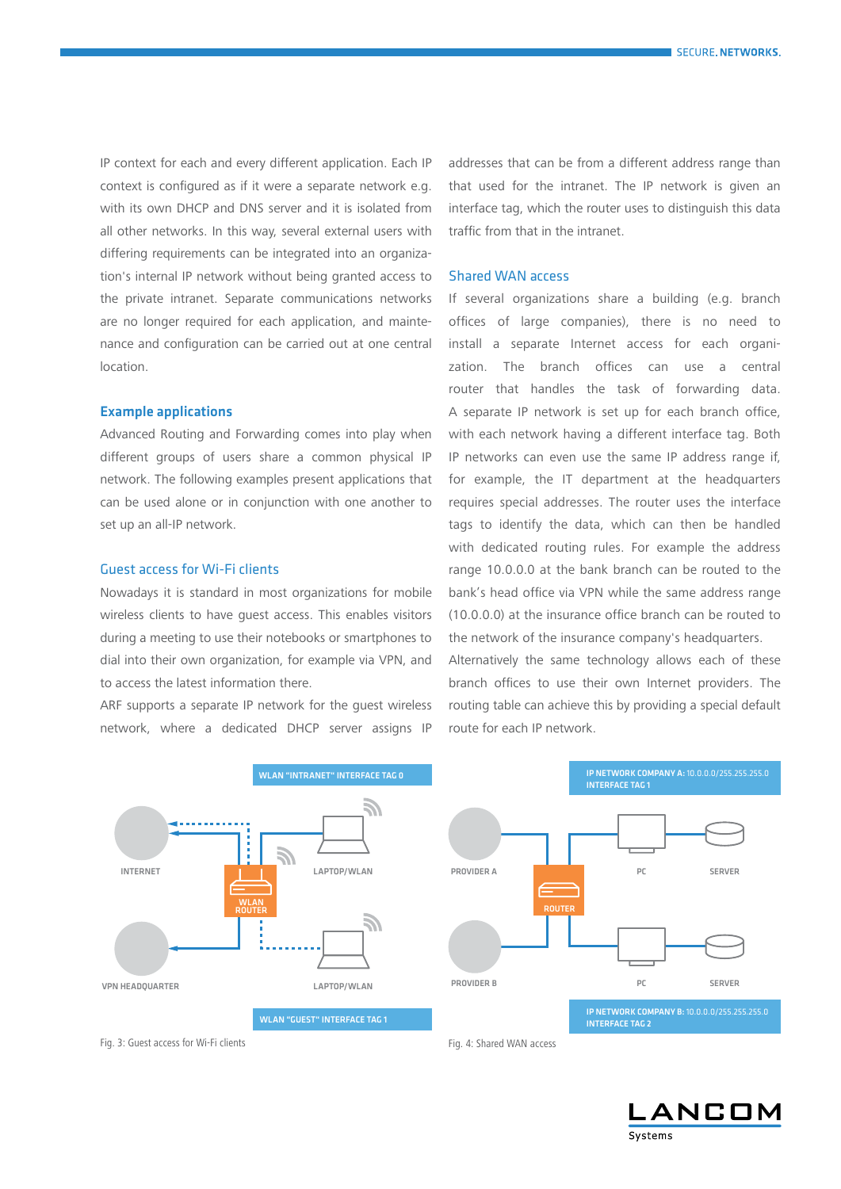IP context for each and every different application. Each IP context is configured as if it were a separate network e.g. with its own DHCP and DNS server and it is isolated from all other networks. In this way, several external users with differing requirements can be integrated into an organization's internal IP network without being granted access to the private intranet. Separate communications networks are no longer required for each application, and maintenance and configuration can be carried out at one central location.

# Example applications

Advanced Routing and Forwarding comes into play when different groups of users share a common physical IP network. The following examples present applications that can be used alone or in conjunction with one another to set up an all-IP network.

# Guest access for Wi-Fi clients

Nowadays it is standard in most organizations for mobile wireless clients to have guest access. This enables visitors during a meeting to use their notebooks or smartphones to dial into their own organization, for example via VPN, and to access the latest information there.

ARF supports a separate IP network for the guest wireless network, where a dedicated DHCP server assigns IP addresses that can be from a different address range than that used for the intranet. The IP network is given an interface tag, which the router uses to distinguish this data traffic from that in the intranet.

# Shared WAN access

If several organizations share a building (e.g. branch offices of large companies), there is no need to install a separate Internet access for each organization. The branch offices can use a central router that handles the task of forwarding data. A separate IP network is set up for each branch office, with each network having a different interface tag. Both IP networks can even use the same IP address range if, for example, the IT department at the headquarters requires special addresses. The router uses the interface tags to identify the data, which can then be handled with dedicated routing rules. For example the address range 10.0.0.0 at the bank branch can be routed to the bank's head office via VPN while the same address range (10.0.0.0) at the insurance office branch can be routed to the network of the insurance company's headquarters.

Alternatively the same technology allows each of these branch offices to use their own Internet providers. The routing table can achieve this by providing a special default route for each IP network.



NCOM Systems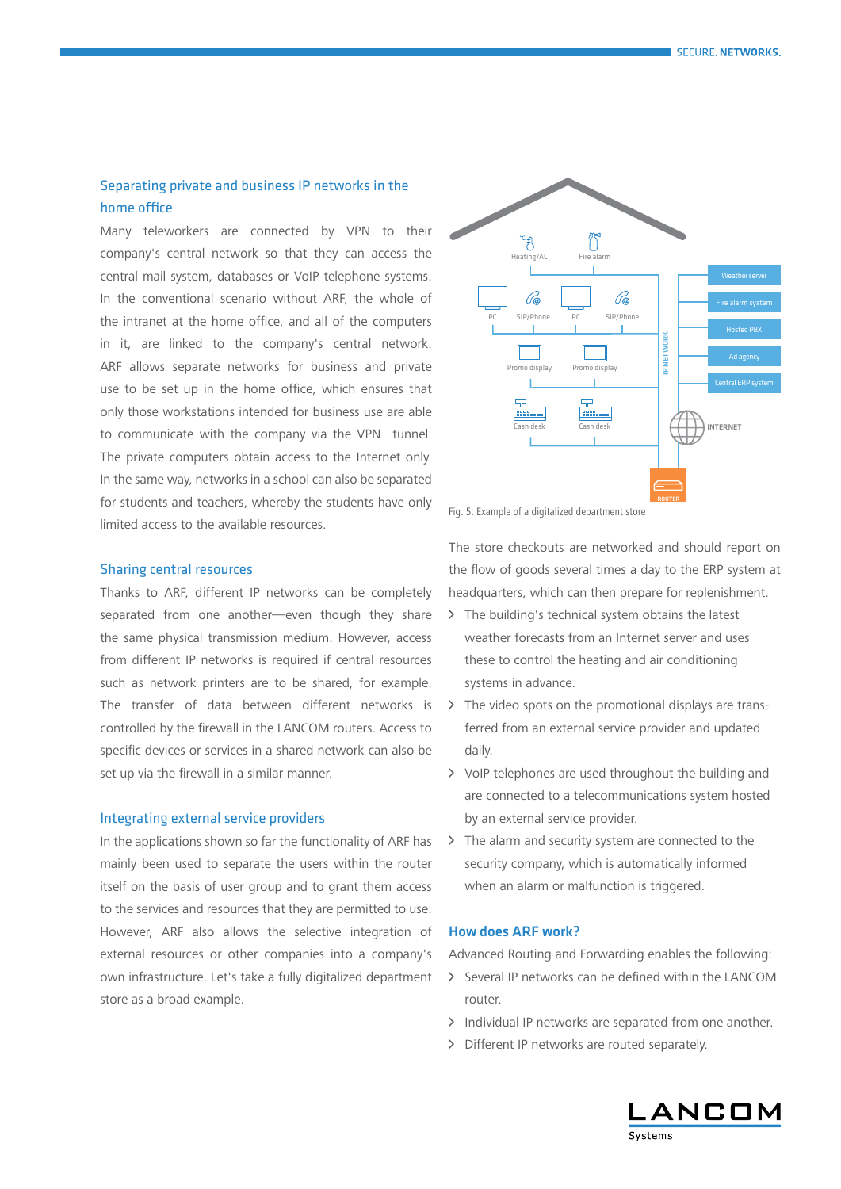# Separating private and business IP networks in the home office

Many teleworkers are connected by VPN to their company's central network so that they can access the central mail system, databases or VoIP telephone systems. In the conventional scenario without ARF, the whole of the intranet at the home office, and all of the computers in it, are linked to the company's central network. ARF allows separate networks for business and private use to be set up in the home office, which ensures that only those workstations intended for business use are able to communicate with the company via the VPN tunnel. The private computers obtain access to the Internet only. In the same way, networks in a school can also be separated for students and teachers, whereby the students have only limited access to the available resources.

# Sharing central resources

Thanks to ARF, different IP networks can be completely separated from one another—even though they share the same physical transmission medium. However, access from different IP networks is required if central resources such as network printers are to be shared, for example. The transfer of data between different networks is controlled by the firewall in the LANCOM routers. Access to specific devices or services in a shared network can also be set up via the firewall in a similar manner.

# Integrating external service providers

In the applications shown so far the functionality of ARF has mainly been used to separate the users within the router itself on the basis of user group and to grant them access to the services and resources that they are permitted to use. However, ARF also allows the selective integration of external resources or other companies into a company's own infrastructure. Let's take a fully digitalized department store as a broad example.



Fig. 5: Example of a digitalized department store

The store checkouts are networked and should report on the flow of goods several times a day to the ERP system at headquarters, which can then prepare for replenishment.

- > The building's technical system obtains the latest weather forecasts from an Internet server and uses these to control the heating and air conditioning systems in advance.
- > The video spots on the promotional displays are transferred from an external service provider and updated daily.
- > VoIP telephones are used throughout the building and are connected to a telecommunications system hosted by an external service provider.
- > The alarm and security system are connected to the security company, which is automatically informed when an alarm or malfunction is triggered.

#### How does ARF work?

Advanced Routing and Forwarding enables the following:

- > Several IP networks can be defined within the LANCOM router.
- > Individual IP networks are separated from one another.
- > Different IP networks are routed separately.

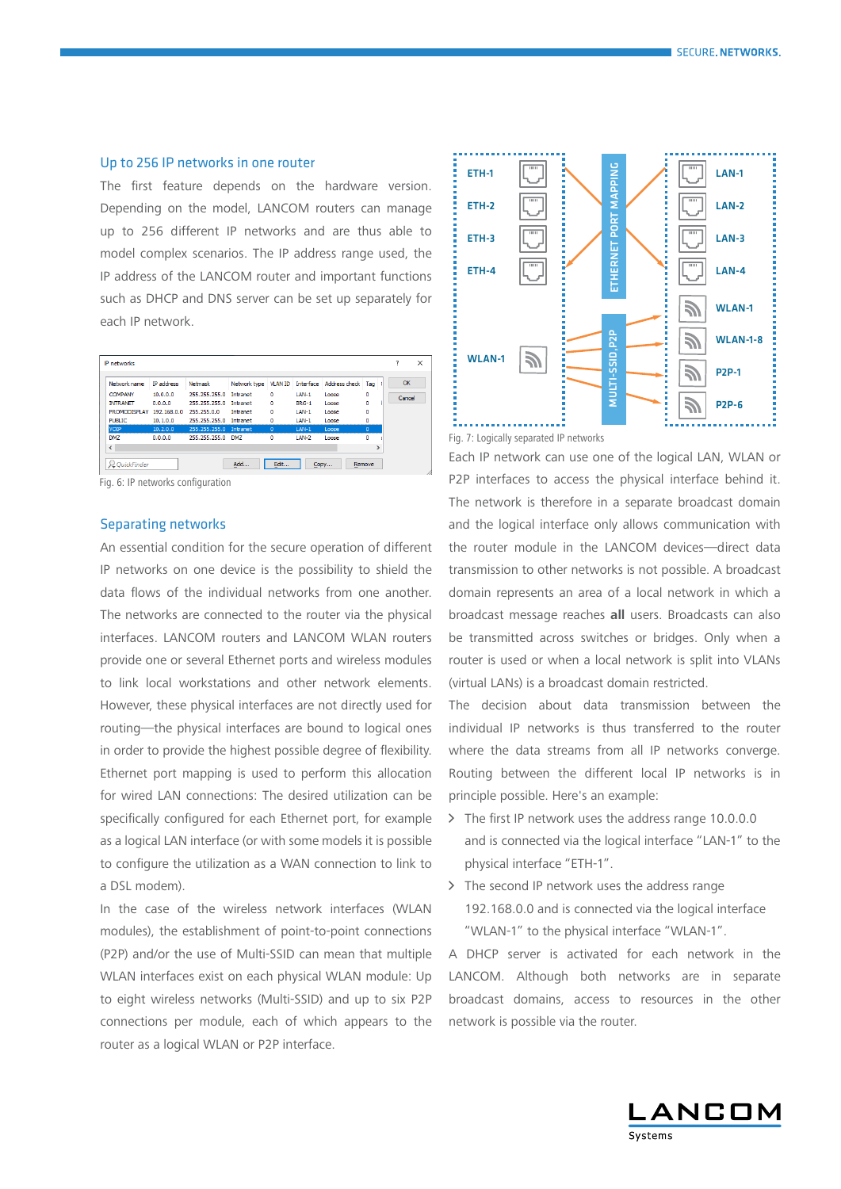# Up to 256 IP networks in one router

The first feature depends on the hardware version. Depending on the model, LANCOM routers can manage up to 256 different IP networks and are thus able to model complex scenarios. The IP address range used, the IP address of the LANCOM router and important functions such as DHCP and DNS server can be set up separately for each IP network.



Fig. 6: IP networks configuration

#### Separating networks

An essential condition for the secure operation of different IP networks on one device is the possibility to shield the data flows of the individual networks from one another. The networks are connected to the router via the physical interfaces. LANCOM routers and LANCOM WLAN routers provide one or several Ethernet ports and wireless modules to link local workstations and other network elements. However, these physical interfaces are not directly used for routing—the physical interfaces are bound to logical ones in order to provide the highest possible degree of flexibility. Ethernet port mapping is used to perform this allocation for wired LAN connections: The desired utilization can be specifically configured for each Ethernet port, for example as a logical LAN interface (or with some models it is possible to configure the utilization as a WAN connection to link to a DSL modem).

In the case of the wireless network interfaces (WLAN modules), the establishment of point-to-point connections (P2P) and/or the use of Multi-SSID can mean that multiple WLAN interfaces exist on each physical WLAN module: Up to eight wireless networks (Multi-SSID) and up to six P2P connections per module, each of which appears to the router as a logical WLAN or P2P interface.



Fig. 7: Logically separated IP networks

Each IP network can use one of the logical LAN, WLAN or P2P interfaces to access the physical interface behind it. The network is therefore in a separate broadcast domain and the logical interface only allows communication with the router module in the LANCOM devices—direct data transmission to other networks is not possible. A broadcast domain represents an area of a local network in which a broadcast message reaches **all** users. Broadcasts can also be transmitted across switches or bridges. Only when a router is used or when a local network is split into VLANs (virtual LANs) is a broadcast domain restricted.

The decision about data transmission between the individual IP networks is thus transferred to the router where the data streams from all IP networks converge. Routing between the different local IP networks is in principle possible. Here's an example:

- > The first IP network uses the address range 10.0.0.0 and is connected via the logical interface "LAN-1" to the physical interface "ETH-1".
- > The second IP network uses the address range 192.168.0.0 and is connected via the logical interface "WLAN-1" to the physical interface "WLAN-1".

A DHCP server is activated for each network in the LANCOM. Although both networks are in separate broadcast domains, access to resources in the other network is possible via the router.

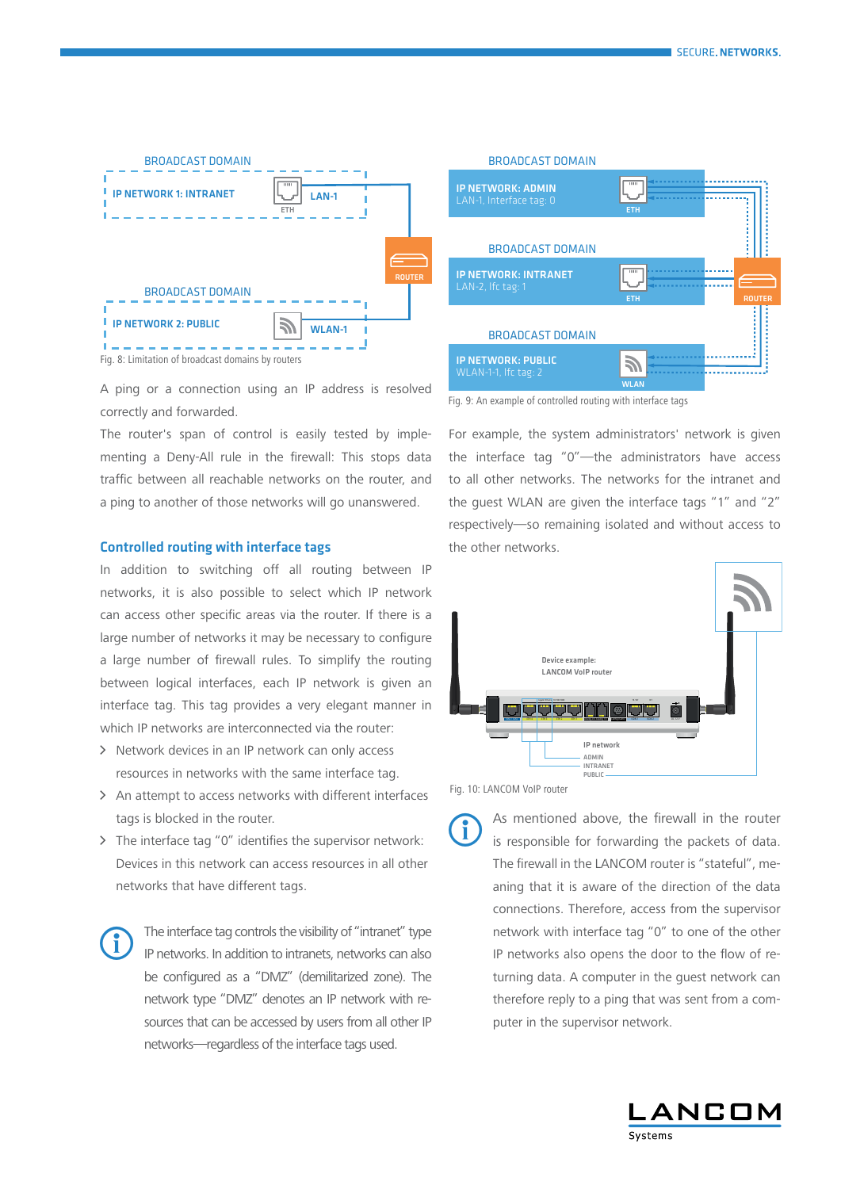

A ping or a connection using an IP address is resolved correctly and forwarded.

The router's span of control is easily tested by implementing a Deny-All rule in the firewall: This stops data traffic between all reachable networks on the router, and a ping to another of those networks will go unanswered.

# Controlled routing with interface tags

In addition to switching off all routing between IP networks, it is also possible to select which IP network can access other specific areas via the router. If there is a large number of networks it may be necessary to configure a large number of firewall rules. To simplify the routing between logical interfaces, each IP network is given an interface tag. This tag provides a very elegant manner in which IP networks are interconnected via the router:

- > Network devices in an IP network can only access resources in networks with the same interface tag.
- > An attempt to access networks with different interfaces tags is blocked in the router.
- $\triangleright$  The interface tag "0" identifies the supervisor network: Devices in this network can access resources in all other networks that have different tags.

The interface tag controls the visibility of "intranet" type IP networks. In addition to intranets, networks can also be configured as a "DMZ" (demilitarized zone). The network type "DMZ" denotes an IP network with resources that can be accessed by users from all other IP networks—regardless of the interface tags used.



Fig. 9: An example of controlled routing with interface tags

For example, the system administrators' network is given the interface tag "0"—the administrators have access to all other networks. The networks for the intranet and the guest WLAN are given the interface tags "1" and "2" respectively—so remaining isolated and without access to the other networks.



Fig. 10: LANCOM VoIP router

As mentioned above, the firewall in the router<br>is responsible for forwarding the packets of data.<br>The firewall in the LANCOM router is "stateful" me is responsible for forwarding the packets of data. The firewall in the LANCOM router is "stateful", meaning that it is aware of the direction of the data connections. Therefore, access from the supervisor network with interface tag "0" to one of the other IP networks also opens the door to the flow of returning data. A computer in the guest network can therefore reply to a ping that was sent from a computer in the supervisor network.

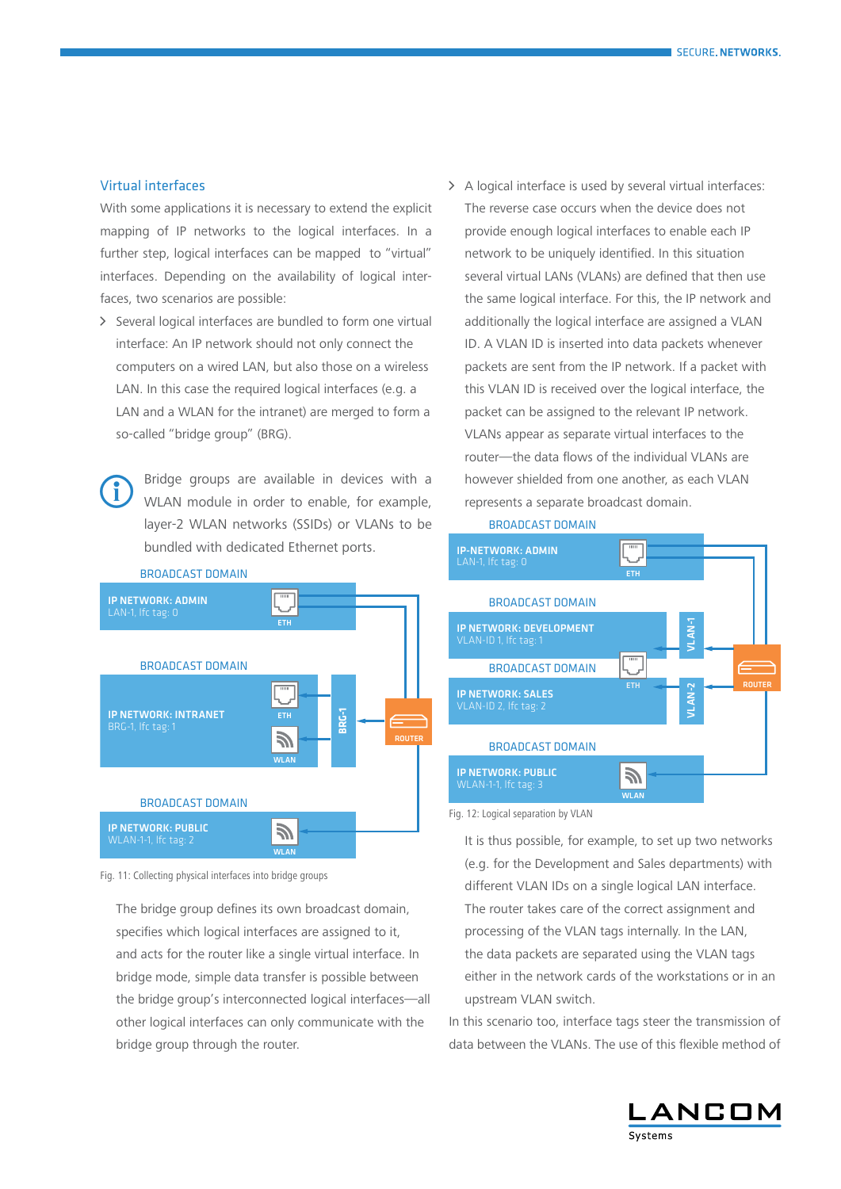### Virtual interfaces

With some applications it is necessary to extend the explicit mapping of IP networks to the logical interfaces. In a further step, logical interfaces can be mapped to "virtual" interfaces. Depending on the availability of logical interfaces, two scenarios are possible:

> Several logical interfaces are bundled to form one virtual interface: An IP network should not only connect the computers on a wired LAN, but also those on a wireless LAN. In this case the required logical interfaces (e.g. a LAN and a WLAN for the intranet) are merged to form a so-called "bridge group" (BRG).

Bridge groups are available in devices with a<br>WLAN module in order to enable, for example,<br>layer-2 MLAN potworks (SSIDs) or VLANs to be WLAN module in order to enable, for example, layer-2 WLAN networks (SSIDs) or VLANs to be bundled with dedicated Ethernet ports.



Fig. 11: Collecting physical interfaces into bridge groups

The bridge group defines its own broadcast domain, specifies which logical interfaces are assigned to it, and acts for the router like a single virtual interface. In bridge mode, simple data transfer is possible between the bridge group's interconnected logical interfaces—all other logical interfaces can only communicate with the bridge group through the router.

> A logical interface is used by several virtual interfaces: The reverse case occurs when the device does not provide enough logical interfaces to enable each IP network to be uniquely identified. In this situation several virtual LANs (VLANs) are defined that then use the same logical interface. For this, the IP network and additionally the logical interface are assigned a VLAN ID. A VLAN ID is inserted into data packets whenever packets are sent from the IP network. If a packet with this VLAN ID is received over the logical interface, the packet can be assigned to the relevant IP network. VLANs appear as separate virtual interfaces to the router—the data flows of the individual VLANs are however shielded from one another, as each VLAN represents a separate broadcast domain.





Fig. 12: Logical separation by VLAN

It is thus possible, for example, to set up two networks (e.g. for the Development and Sales departments) with different VLAN IDs on a single logical LAN interface. The router takes care of the correct assignment and processing of the VLAN tags internally. In the LAN, the data packets are separated using the VLAN tags either in the network cards of the workstations or in an upstream VLAN switch.

In this scenario too, interface tags steer the transmission of data between the VLANs. The use of this flexible method of

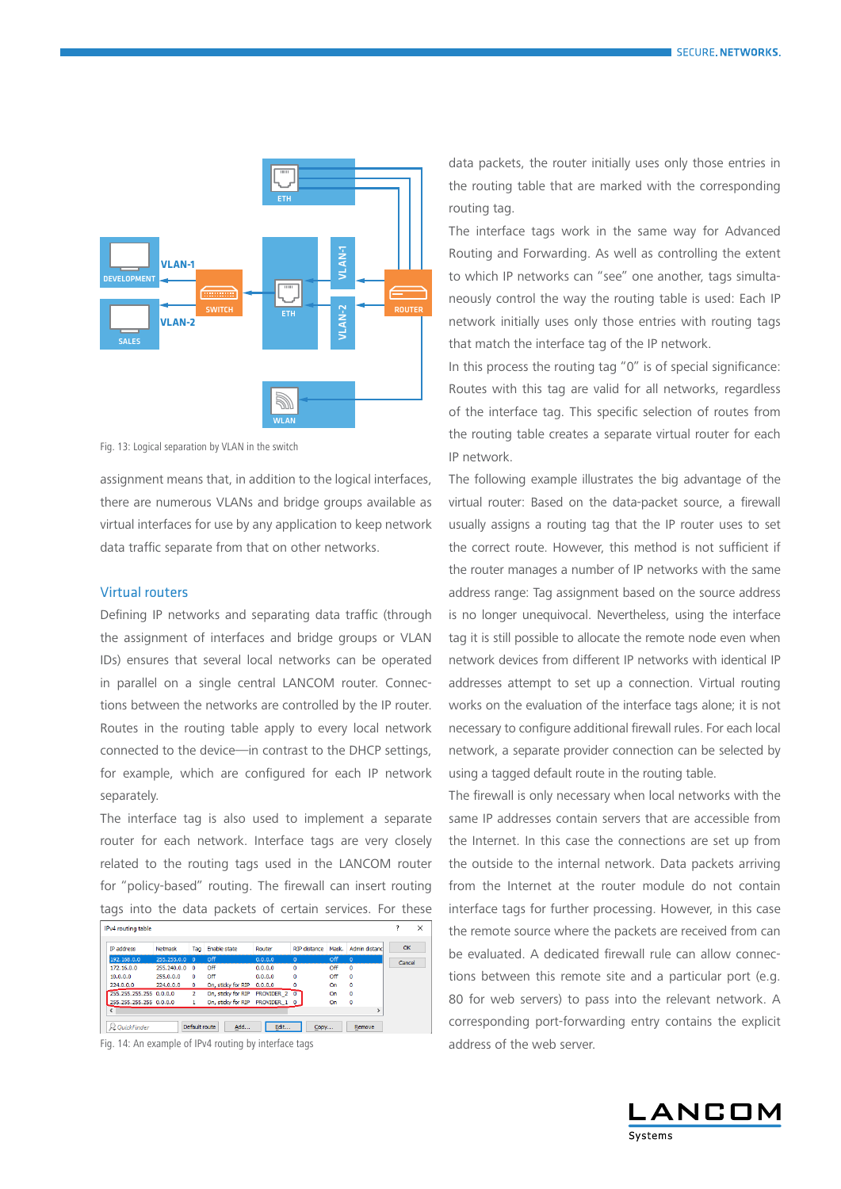

Fig. 13: Logical separation by VLAN in the switch

assignment means that, in addition to the logical interfaces, there are numerous VLANs and bridge groups available as virtual interfaces for use by any application to keep network data traffic separate from that on other networks.

# Virtual routers

Defining IP networks and separating data traffic (through the assignment of interfaces and bridge groups or VLAN IDs) ensures that several local networks can be operated in parallel on a single central LANCOM router. Connections between the networks are controlled by the IP router. Routes in the routing table apply to every local network connected to the device—in contrast to the DHCP settings, for example, which are configured for each IP network separately.

The interface tag is also used to implement a separate router for each network. Interface tags are very closely related to the routing tags used in the LANCOM router for "policy-based" routing. The firewall can insert routing tags into the data packets of certain services. For these

| <b>IP address</b>       | Netmask        | Tag            | Enable state                              | Router       | RTP distance | Mask. | Admin distanc | OK     |
|-------------------------|----------------|----------------|-------------------------------------------|--------------|--------------|-------|---------------|--------|
| 192, 168, 0, 0          | 255, 255, 0.0  | $\Omega$       | $\Omega$ <sup><math>\text{f}</math></sup> | 0.0.0.0      | $\Omega$     | Off   | $\Omega$      | Cancel |
| 172, 16, 0, 0           | 255, 240, 0, 0 | $\Omega$       | Off                                       | 0.0.0.0      | $\Omega$     | Off   | $\Omega$      |        |
| 10.0.0.0                | 255.0.0.0      | n              | Off                                       | 0.0.0.0      | 0            | Off   | $\mathbf{0}$  |        |
| 224.0.0.0               | 224.0.0.0      | 0              | On, sticky for RIP                        | 0.0.0.0      | ٥            | On    | o             |        |
| 255.255.255.255 0.0.0.0 |                | $\overline{2}$ | On, sticky for RIP                        | PROVIDER 2 0 |              | On    | o             |        |
| 255.255.255.255 0.0.0.0 |                |                | On, sticky for RIP PROVIDER 1 0           |              |              | On    | 0             |        |
|                         |                |                |                                           |              |              |       |               |        |

Fig. 14: An example of IPv4 routing by interface tags

data packets, the router initially uses only those entries in the routing table that are marked with the corresponding routing tag.

The interface tags work in the same way for Advanced Routing and Forwarding. As well as controlling the extent to which IP networks can "see" one another, tags simultaneously control the way the routing table is used: Each IP network initially uses only those entries with routing tags that match the interface tag of the IP network.

In this process the routing tag "0" is of special significance: Routes with this tag are valid for all networks, regardless of the interface tag. This specific selection of routes from the routing table creates a separate virtual router for each IP network.

The following example illustrates the big advantage of the virtual router: Based on the data-packet source, a firewall usually assigns a routing tag that the IP router uses to set the correct route. However, this method is not sufficient if the router manages a number of IP networks with the same address range: Tag assignment based on the source address is no longer unequivocal. Nevertheless, using the interface tag it is still possible to allocate the remote node even when network devices from different IP networks with identical IP addresses attempt to set up a connection. Virtual routing works on the evaluation of the interface tags alone; it is not necessary to configure additional firewall rules. For each local network, a separate provider connection can be selected by using a tagged default route in the routing table.

The firewall is only necessary when local networks with the same IP addresses contain servers that are accessible from the Internet. In this case the connections are set up from the outside to the internal network. Data packets arriving from the Internet at the router module do not contain interface tags for further processing. However, in this case the remote source where the packets are received from can be evaluated. A dedicated firewall rule can allow connections between this remote site and a particular port (e.g. 80 for web servers) to pass into the relevant network. A corresponding port-forwarding entry contains the explicit address of the web server.

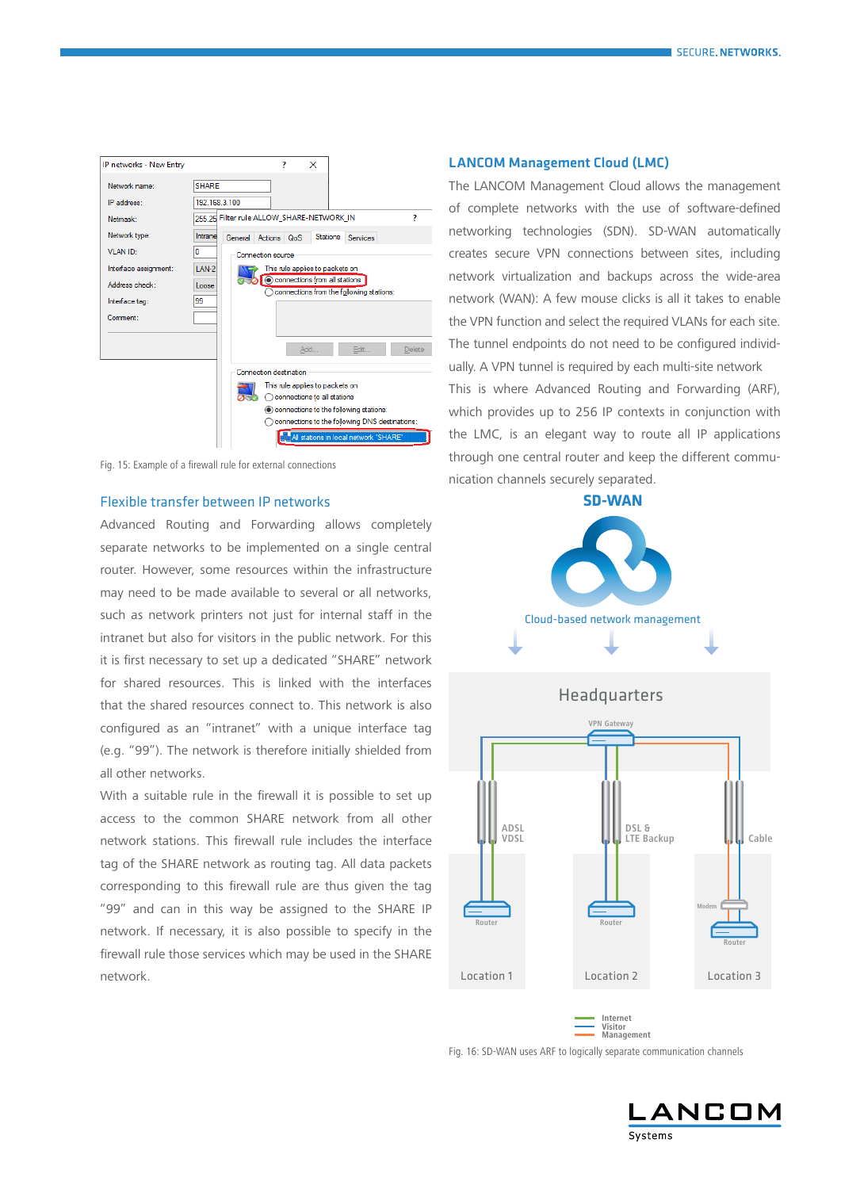

Fig. 15: Example of a firewall rule for external connections

#### Flexible transfer between IP networks

Advanced Routing and Forwarding allows completely separate networks to be implemented on a single central router. However, some resources within the infrastructure may need to be made available to several or all networks, such as network printers not just for internal staff in the intranet but also for visitors in the public network. For this it is first necessary to set up a dedicated "SHARE" network for shared resources. This is linked with the interfaces that the shared resources connect to. This network is also configured as an "intranet" with a unique interface tag (e.g. "99"). The network is therefore initially shielded from all other networks.

With a suitable rule in the firewall it is possible to set up access to the common SHARE network from all other network stations. This firewall rule includes the interface tag of the SHARE network as routing tag. All data packets corresponding to this firewall rule are thus given the tag "99" and can in this way be assigned to the SHARE IP network. If necessary, it is also possible to specify in the firewall rule those services which may be used in the SHARE network.

# LANCOM Management Cloud (LMC)

The LANCOM Management Cloud allows the management of complete networks with the use of software-defined networking technologies (SDN). SD-WAN automatically creates secure VPN connections between sites, including network virtualization and backups across the wide-area network (WAN): A few mouse clicks is all it takes to enable the VPN function and select the required VLANs for each site. The tunnel endpoints do not need to be configured individually. A VPN tunnel is required by each multi-site network This is where Advanced Routing and Forwarding (ARF), which provides up to 256 IP contexts in conjunction with the LMC, is an elegant way to route all IP applications through one central router and keep the different communication channels securely separated.

**SD-WAN**





Fig. 16: SD-WAN uses ARF to logically separate communication channels